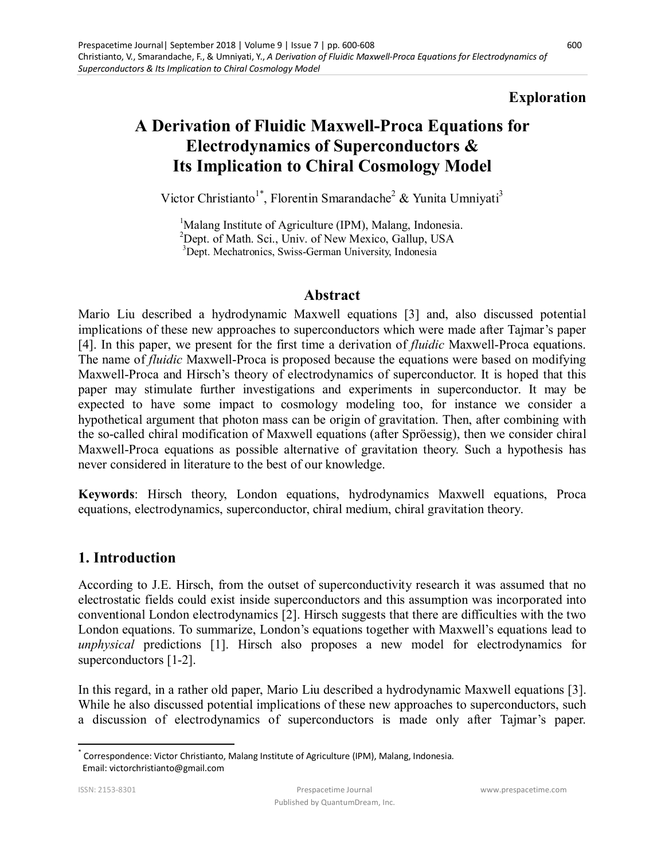## **Exploration**

# **A Derivation of Fluidic Maxwell-Proca Equations for Electrodynamics of Superconductors & Its Implication to Chiral Cosmology Model**

Victor Christianto<sup>1\*</sup>, Florentin Smarandache<sup>2</sup> & Yunita Umniyati<sup>3</sup>

<sup>1</sup>Malang Institute of Agriculture (IPM), Malang, Indonesia.  ${}^{2}$ Dept. of Math. Sci., Univ. of New Mexico, Gallup, USA <sup>3</sup>Dept. Mechatronics, Swiss-German University, Indonesia

### **Abstract**

Mario Liu described a hydrodynamic Maxwell equations [3] and, also discussed potential implications of these new approaches to superconductors which were made after Tajmar's paper [4]. In this paper, we present for the first time a derivation of *fluidic* Maxwell-Proca equations. The name of *fluidic* Maxwell-Proca is proposed because the equations were based on modifying Maxwell-Proca and Hirsch's theory of electrodynamics of superconductor. It is hoped that this paper may stimulate further investigations and experiments in superconductor. It may be expected to have some impact to cosmology modeling too, for instance we consider a hypothetical argument that photon mass can be origin of gravitation. Then, after combining with the so-called chiral modification of Maxwell equations (after Spröessig), then we consider chiral Maxwell-Proca equations as possible alternative of gravitation theory. Such a hypothesis has never considered in literature to the best of our knowledge.

**Keywords**: Hirsch theory, London equations, hydrodynamics Maxwell equations, Proca equations, electrodynamics, superconductor, chiral medium, chiral gravitation theory.

### **1. Introduction**

According to J.E. Hirsch, from the outset of superconductivity research it was assumed that no electrostatic fields could exist inside superconductors and this assumption was incorporated into conventional London electrodynamics [2]. Hirsch suggests that there are difficulties with the two London equations. To summarize, London's equations together with Maxwell's equations lead to *unphysical* predictions [1]. Hirsch also proposes a new model for electrodynamics for superconductors [1-2].

In this regard, in a rather old paper, Mario Liu described a hydrodynamic Maxwell equations [3]. While he also discussed potential implications of these new approaches to superconductors, such a discussion of electrodynamics of superconductors is made only after Tajmar's paper.

l

<sup>\*</sup> Correspondence: Victor Christianto, Malang Institute of Agriculture (IPM), Malang, Indonesia. Email: victorchristianto@gmail.com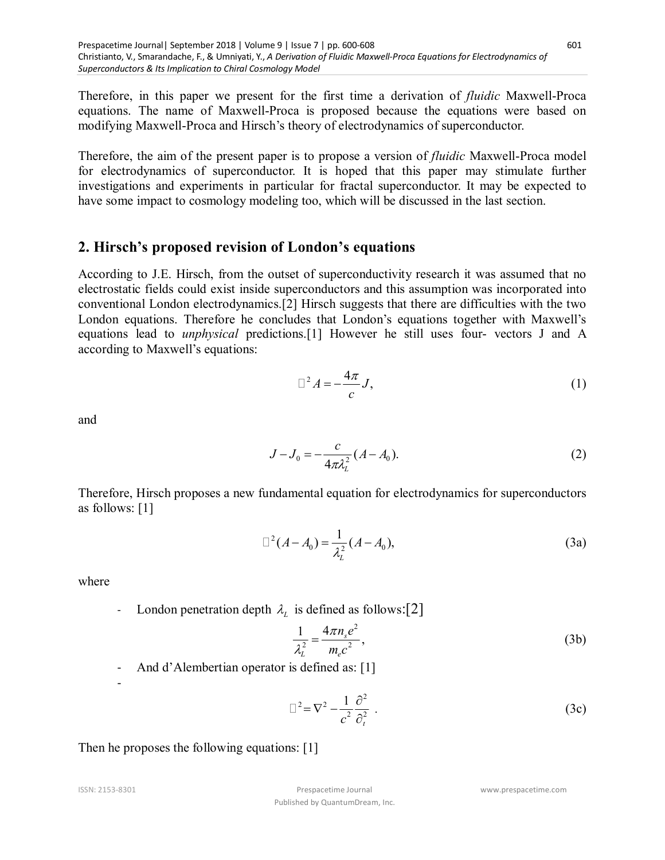Therefore, in this paper we present for the first time a derivation of *fluidic* Maxwell-Proca equations. The name of Maxwell-Proca is proposed because the equations were based on modifying Maxwell-Proca and Hirsch's theory of electrodynamics of superconductor.

Therefore, the aim of the present paper is to propose a version of *fluidic* Maxwell-Proca model for electrodynamics of superconductor. It is hoped that this paper may stimulate further investigations and experiments in particular for fractal superconductor. It may be expected to have some impact to cosmology modeling too, which will be discussed in the last section.

### **2. Hirsch's proposed revision of London's equations**

According to J.E. Hirsch, from the outset of superconductivity research it was assumed that no electrostatic fields could exist inside superconductors and this assumption was incorporated into conventional London electrodynamics.[2] Hirsch suggests that there are difficulties with the two London equations. Therefore he concludes that London's equations together with Maxwell's equations lead to *unphysical* predictions.[1] However he still uses four- vectors J and A according to Maxwell's equations:

$$
\Box^2 A = -\frac{4\pi}{c} J,\tag{1}
$$

and

$$
J - J_0 = -\frac{c}{4\pi\lambda_L^2} (A - A_0).
$$
 (2)

Therefore, Hirsch proposes a new fundamental equation for electrodynamics for superconductors as follows: [1]

$$
\Box^2 (A - A_0) = \frac{1}{\lambda_L^2} (A - A_0),
$$
\n(3a)

where

- London penetration depth  $\lambda_L$  is defined as follows: [2]

$$
\frac{1}{\lambda_L^2} = \frac{4\pi n_s e^2}{m_e c^2},
$$
\n(3b)

And d'Alembertian operator is defined as: [1]

$$
\Box^2 = \nabla^2 - \frac{1}{c^2} \frac{\partial^2}{\partial_t^2} \ . \tag{3c}
$$

Then he proposes the following equations: [1]

-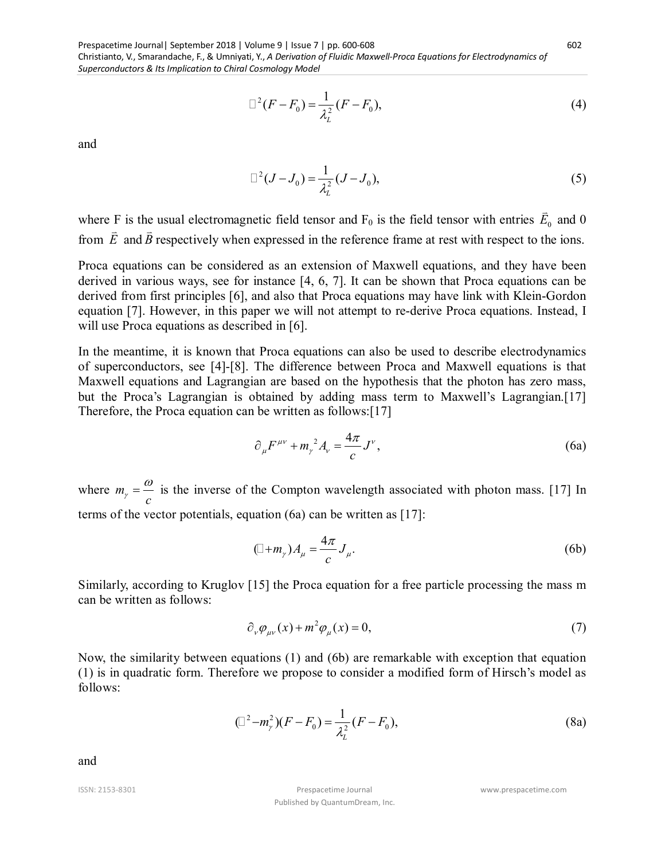Prespacetime Journal| September 2018 | Volume 9 | Issue 7 | pp. 600-608 Christianto, V., Smarandache, F., & Umniyati, Y., *A Derivation of Fluidic Maxwell-Proca Equations for Electrodynamics of Superconductors & Its Implication to Chiral Cosmology Model* 

$$
\Box^2 (F - F_0) = \frac{1}{\lambda_L^2} (F - F_0),\tag{4}
$$

and

$$
\Box^2 (J - J_0) = \frac{1}{\lambda_L^2} (J - J_0),\tag{5}
$$

where F is the usual electromagnetic field tensor and  $F_0$  is the field tensor with entries  $E_0$  $\overline{\phantom{a}}$ F is the usual electromagnetic field tensor and  $F_0$  is the field tensor with entries  $E_0$  and 0 from *E* and *B* respectively when expressed in the reference frame at rest with respect to the ions.

Proca equations can be considered as an extension of Maxwell equations, and they have been derived in various ways, see for instance [4, 6, 7]. It can be shown that Proca equations can be derived from first principles [6], and also that Proca equations may have link with Klein-Gordon equation [7]. However, in this paper we will not attempt to re-derive Proca equations. Instead, I will use Proca equations as described in [6].

In the meantime, it is known that Proca equations can also be used to describe electrodynamics of superconductors, see [4]-[8]. The difference between Proca and Maxwell equations is that Maxwell equations and Lagrangian are based on the hypothesis that the photon has zero mass, but the Proca's Lagrangian is obtained by adding mass term to Maxwell's Lagrangian.[17] Therefore, the Proca equation can be written as follows:[17]

$$
\partial_{\mu}F^{\mu\nu} + m_{\nu}^2 A_{\nu} = \frac{4\pi}{c}J^{\nu},\qquad(6a)
$$

where *m*  $\mathcal{C}$  $\frac{\omega}{\omega}$  is the inverse of the Compton wavelength associated with photon mass. [17] In terms of the vector potentials, equation (6a) can be written as [17]:

$$
(\Box + m_{\gamma})A_{\mu} = \frac{4\pi}{c}J_{\mu}.
$$
 (6b)

Similarly, according to Kruglov [15] the Proca equation for a free particle processing the mass m can be written as follows:

$$
\partial_{\nu}\varphi_{\mu\nu}(x) + m^2\varphi_{\mu}(x) = 0, \tag{7}
$$

Now, the similarity between equations (1) and (6b) are remarkable with exception that equation (1) is in quadratic form. Therefore we propose to consider a modified form of Hirsch's model as follows:

$$
(\Box^2 - m_\gamma^2)(F - F_0) = \frac{1}{\lambda_L^2}(F - F_0),
$$
\n(8a)

and

ISSN: 2153-8301 Prespacetime Journal Published by QuantumDream, Inc. www.prespacetime.com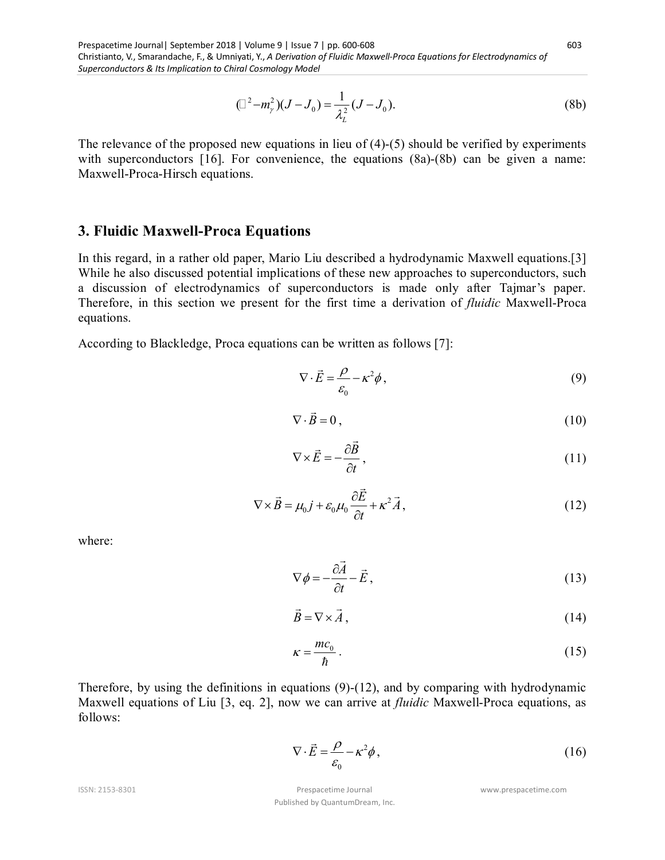$$
(\Box^2 - m_\gamma^2)(J - J_0) = \frac{1}{\lambda_L^2}(J - J_0).
$$
 (8b)

The relevance of the proposed new equations in lieu of (4)-(5) should be verified by experiments with superconductors [16]. For convenience, the equations (8a)-(8b) can be given a name: Maxwell-Proca-Hirsch equations.

#### **3. Fluidic Maxwell-Proca Equations**

In this regard, in a rather old paper, Mario Liu described a hydrodynamic Maxwell equations.[3] While he also discussed potential implications of these new approaches to superconductors, such a discussion of electrodynamics of superconductors is made only after Tajmar's paper. Therefore, in this section we present for the first time a derivation of *fluidic* Maxwell-Proca equations.

According to Blackledge, Proca equations can be written as follows [7]:

$$
\nabla \cdot \vec{E} = \frac{\rho}{\varepsilon_0} - \kappa^2 \phi, \qquad (9)
$$

$$
\nabla \cdot \vec{B} = 0, \qquad (10)
$$

$$
\nabla \times \vec{E} = -\frac{\partial \vec{B}}{\partial t},\qquad(11)
$$

$$
\nabla \times \vec{B} = \mu_0 \vec{j} + \varepsilon_0 \mu_0 \frac{\partial \vec{E}}{\partial t} + \kappa^2 \vec{A},
$$
\n(12)

where:

$$
\nabla \phi = -\frac{\partial \vec{A}}{\partial t} - \vec{E},\qquad(13)
$$

$$
\vec{B} = \nabla \times \vec{A},\tag{14}
$$

$$
\kappa = \frac{mc_0}{\hbar} \,. \tag{15}
$$

Therefore, by using the definitions in equations  $(9)-(12)$ , and by comparing with hydrodynamic Maxwell equations of Liu [3, eq. 2], now we can arrive at *fluidic* Maxwell-Proca equations, as follows:

$$
\nabla \cdot \vec{E} = \frac{\rho}{\varepsilon_0} - \kappa^2 \phi, \qquad (16)
$$

ISSN: 2153-8301 Prespacetime Journal Published by QuantumDream, Inc. www.prespacetime.com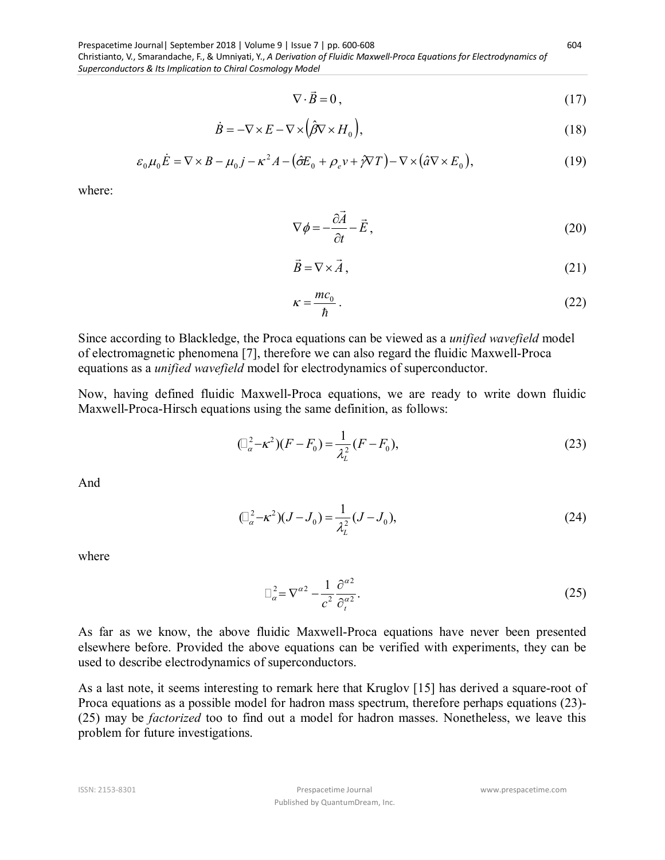Prespacetime Journal| September 2018 | Volume 9 | Issue 7 | pp. 600-608 Christianto, V., Smarandache, F., & Umniyati, Y., *A Derivation of Fluidic Maxwell-Proca Equations for Electrodynamics of Superconductors & Its Implication to Chiral Cosmology Model* 

$$
\nabla \cdot \vec{B} = 0, \qquad (17)
$$

$$
\dot{B} = -\nabla \times E - \nabla \times (\hat{\beta} \nabla \times H_0),\tag{18}
$$

$$
\varepsilon_0 \mu_0 \dot{E} = \nabla \times B - \mu_0 j - \kappa^2 A - (\hat{\sigma} E_0 + \rho_e v + \hat{\gamma} \nabla T) - \nabla \times (\hat{a} \nabla \times E_0),
$$
\n(19)

where:

$$
\nabla \phi = -\frac{\partial \vec{A}}{\partial t} - \vec{E},\qquad(20)
$$

$$
\vec{B} = \nabla \times \vec{A},\tag{21}
$$

$$
\kappa = \frac{mc_0}{\hbar} \,. \tag{22}
$$

Since according to Blackledge, the Proca equations can be viewed as a *unified wavefield* model of electromagnetic phenomena [7], therefore we can also regard the fluidic Maxwell-Proca equations as a *unified wavefield* model for electrodynamics of superconductor.

Now, having defined fluidic Maxwell-Proca equations, we are ready to write down fluidic Maxwell-Proca-Hirsch equations using the same definition, as follows:

$$
(\Box_a^2 - \kappa^2)(F - F_0) = \frac{1}{\lambda_L^2}(F - F_0),
$$
\n(23)

And

$$
(\Box_a^2 - \kappa^2)(J - J_0) = \frac{1}{\lambda_L^2}(J - J_0),
$$
\n(24)

where

$$
\Box_a^2 = \nabla^{a2} - \frac{1}{c^2} \frac{\partial^{a2}}{\partial_t^{a2}}.
$$
 (25)

As far as we know, the above fluidic Maxwell-Proca equations have never been presented elsewhere before. Provided the above equations can be verified with experiments, they can be used to describe electrodynamics of superconductors.

As a last note, it seems interesting to remark here that Kruglov [15] has derived a square-root of Proca equations as a possible model for hadron mass spectrum, therefore perhaps equations (23)- (25) may be *factorized* too to find out a model for hadron masses. Nonetheless, we leave this problem for future investigations.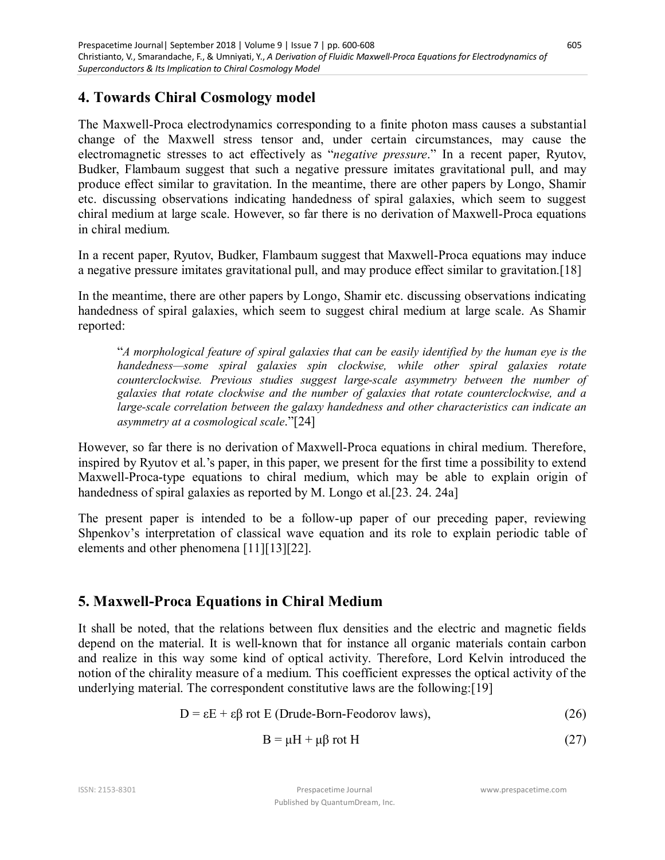### **4. Towards Chiral Cosmology model**

The Maxwell-Proca electrodynamics corresponding to a finite photon mass causes a substantial change of the Maxwell stress tensor and, under certain circumstances, may cause the electromagnetic stresses to act effectively as "*negative pressure*." In a recent paper, Ryutov, Budker, Flambaum suggest that such a negative pressure imitates gravitational pull, and may produce effect similar to gravitation. In the meantime, there are other papers by Longo, Shamir etc. discussing observations indicating handedness of spiral galaxies, which seem to suggest chiral medium at large scale. However, so far there is no derivation of Maxwell-Proca equations in chiral medium.

In a recent paper, Ryutov, Budker, Flambaum suggest that Maxwell-Proca equations may induce a negative pressure imitates gravitational pull, and may produce effect similar to gravitation.[18]

In the meantime, there are other papers by Longo, Shamir etc. discussing observations indicating handedness of spiral galaxies, which seem to suggest chiral medium at large scale. As Shamir reported:

"*A morphological feature of spiral galaxies that can be easily identified by the human eye is the handedness—some spiral galaxies spin clockwise, while other spiral galaxies rotate counterclockwise. Previous studies suggest large-scale asymmetry between the number of galaxies that rotate clockwise and the number of galaxies that rotate counterclockwise, and a large-scale correlation between the galaxy handedness and other characteristics can indicate an asymmetry at a cosmological scale*."[24]

However, so far there is no derivation of Maxwell-Proca equations in chiral medium. Therefore, inspired by Ryutov et al.'s paper, in this paper, we present for the first time a possibility to extend Maxwell-Proca-type equations to chiral medium, which may be able to explain origin of handedness of spiral galaxies as reported by M. Longo et al.[23. 24. 24a]

The present paper is intended to be a follow-up paper of our preceding paper, reviewing Shpenkov's interpretation of classical wave equation and its role to explain periodic table of elements and other phenomena [11][13][22].

### **5. Maxwell-Proca Equations in Chiral Medium**

It shall be noted, that the relations between flux densities and the electric and magnetic fields depend on the material. It is well-known that for instance all organic materials contain carbon and realize in this way some kind of optical activity. Therefore, Lord Kelvin introduced the notion of the chirality measure of a medium. This coefficient expresses the optical activity of the underlying material. The correspondent constitutive laws are the following:[19]

$$
D = \varepsilon E + \varepsilon \beta \text{ rot } E \text{ (Drude-Born-Feodorov laws)},\tag{26}
$$

$$
B = \mu H + \mu \beta \text{ rot } H \tag{27}
$$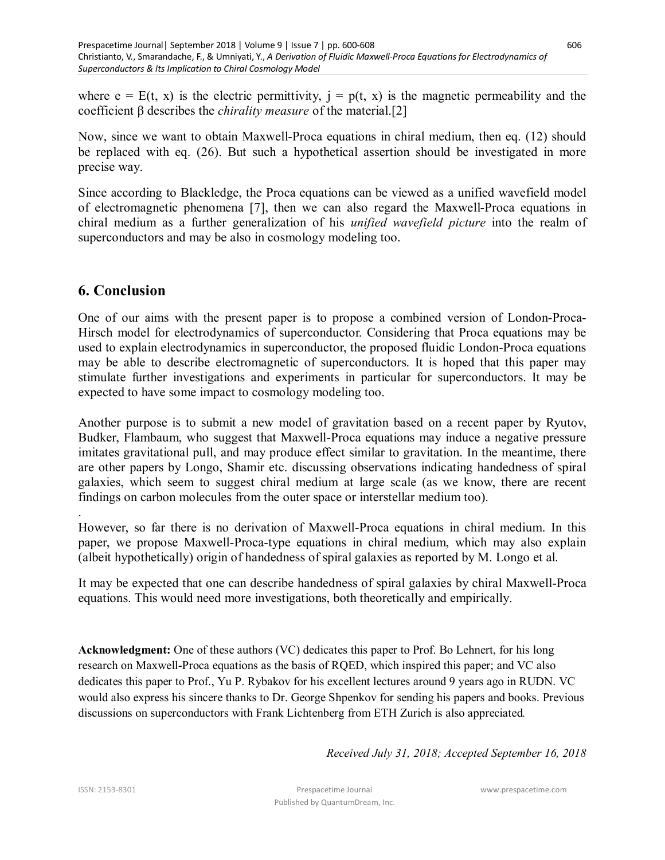where  $e = E(t, x)$  is the electric permittivity,  $j = p(t, x)$  is the magnetic permeability and the coefficient β describes the *chirality measure* of the material.[2]

Now, since we want to obtain Maxwell-Proca equations in chiral medium, then eq. (12) should be replaced with eq. (26). But such a hypothetical assertion should be investigated in more precise way.

Since according to Blackledge, the Proca equations can be viewed as a unified wavefield model of electromagnetic phenomena [7], then we can also regard the Maxwell-Proca equations in chiral medium as a further generalization of his *unified wavefield picture* into the realm of superconductors and may be also in cosmology modeling too.

### **6. Conclusion**

One of our aims with the present paper is to propose a combined version of London-Proca-Hirsch model for electrodynamics of superconductor. Considering that Proca equations may be used to explain electrodynamics in superconductor, the proposed fluidic London-Proca equations may be able to describe electromagnetic of superconductors. It is hoped that this paper may stimulate further investigations and experiments in particular for superconductors. It may be expected to have some impact to cosmology modeling too.

Another purpose is to submit a new model of gravitation based on a recent paper by Ryutov, Budker, Flambaum, who suggest that Maxwell-Proca equations may induce a negative pressure imitates gravitational pull, and may produce effect similar to gravitation. In the meantime, there are other papers by Longo, Shamir etc. discussing observations indicating handedness of spiral galaxies, which seem to suggest chiral medium at large scale (as we know, there are recent findings on carbon molecules from the outer space or interstellar medium too).

. However, so far there is no derivation of Maxwell-Proca equations in chiral medium. In this paper, we propose Maxwell-Proca-type equations in chiral medium, which may also explain (albeit hypothetically) origin of handedness of spiral galaxies as reported by M. Longo et al.

It may be expected that one can describe handedness of spiral galaxies by chiral Maxwell-Proca equations. This would need more investigations, both theoretically and empirically.

**Acknowledgment:** One of these authors (VC) dedicates this paper to Prof. Bo Lehnert, for his long research on Maxwell-Proca equations as the basis of RQED, which inspired this paper; and VC also dedicates this paper to Prof., Yu P. Rybakov for his excellent lectures around 9 years ago in RUDN. VC would also express his sincere thanks to Dr. George Shpenkov for sending his papers and books. Previous discussions on superconductors with Frank Lichtenberg from ETH Zurich is also appreciated*.*

*Received July 31, 2018; Accepted September 16, 2018*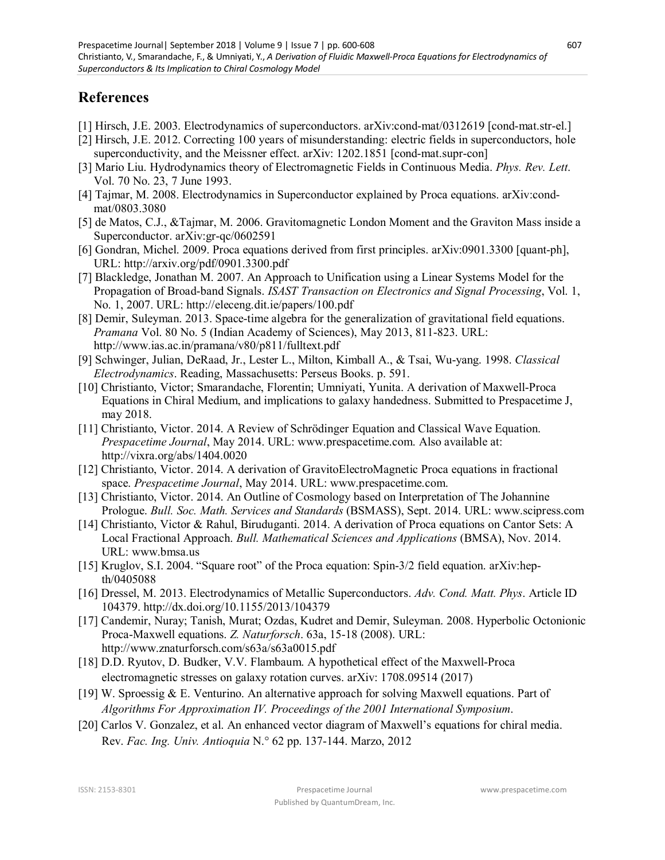# **References**

- [1] Hirsch, J.E. 2003. Electrodynamics of superconductors. arXiv:cond-mat/0312619 [cond-mat.str-el.]
- [2] Hirsch, J.E. 2012. Correcting 100 years of misunderstanding: electric fields in superconductors, hole superconductivity, and the Meissner effect. arXiv: 1202.1851 [cond-mat.supr-con]
- [3] Mario Liu. Hydrodynamics theory of Electromagnetic Fields in Continuous Media. *Phys. Rev. Lett*. Vol. 70 No. 23, 7 June 1993.
- [4] Tajmar, M. 2008. Electrodynamics in Superconductor explained by Proca equations. arXiv:condmat/0803.3080
- [5] de Matos, C.J., &Tajmar, M. 2006. Gravitomagnetic London Moment and the Graviton Mass inside a Superconductor. arXiv:gr-qc/0602591
- [6] Gondran, Michel. 2009. Proca equations derived from first principles. arXiv:0901.3300 [quant-ph], URL: http://arxiv.org/pdf/0901.3300.pdf
- [7] Blackledge, Jonathan M. 2007. An Approach to Unification using a Linear Systems Model for the Propagation of Broad-band Signals. *ISAST Transaction on Electronics and Signal Processing*, Vol. 1, No. 1, 2007. URL: http://eleceng.dit.ie/papers/100.pdf
- [8] Demir, Suleyman. 2013. Space-time algebra for the generalization of gravitational field equations. *Pramana* Vol. 80 No. 5 (Indian Academy of Sciences), May 2013, 811-823. URL: http://www.ias.ac.in/pramana/v80/p811/fulltext.pdf
- [9] Schwinger, Julian, DeRaad, Jr., Lester L., Milton, Kimball A., & Tsai, Wu-yang. 1998. *Classical Electrodynamics*. Reading, Massachusetts: Perseus Books. p. 591.
- [10] Christianto, Victor; Smarandache, Florentin; Umniyati, Yunita. A derivation of Maxwell-Proca Equations in Chiral Medium, and implications to galaxy handedness. Submitted to Prespacetime J, may 2018.
- [11] Christianto, Victor. 2014. A Review of Schrödinger Equation and Classical Wave Equation. *Prespacetime Journal*, May 2014. URL: www.prespacetime.com. Also available at: http://vixra.org/abs/1404.0020
- [12] Christianto, Victor. 2014. A derivation of GravitoElectroMagnetic Proca equations in fractional space. *Prespacetime Journal*, May 2014. URL: www.prespacetime.com.
- [13] Christianto, Victor. 2014. An Outline of Cosmology based on Interpretation of The Johannine Prologue. *Bull. Soc. Math. Services and Standards* (BSMASS), Sept. 2014. URL: www.scipress.com
- [14] Christianto, Victor & Rahul, Biruduganti. 2014. A derivation of Proca equations on Cantor Sets: A Local Fractional Approach. *Bull. Mathematical Sciences and Applications* (BMSA), Nov. 2014. URL: www.bmsa.us
- [15] Kruglov, S.I. 2004. "Square root" of the Proca equation: Spin-3/2 field equation. arXiv:hepth/0405088
- [16] Dressel, M. 2013. Electrodynamics of Metallic Superconductors. *Adv. Cond. Matt. Phys*. Article ID 104379. http://dx.doi.org/10.1155/2013/104379
- [17] Candemir, Nuray; Tanish, Murat; Ozdas, Kudret and Demir, Suleyman. 2008. Hyperbolic Octonionic Proca-Maxwell equations. *Z. Naturforsch*. 63a, 15-18 (2008). URL: http://www.znaturforsch.com/s63a/s63a0015.pdf
- [18] D.D. Ryutov, D. Budker, V.V. Flambaum. A hypothetical effect of the Maxwell-Proca electromagnetic stresses on galaxy rotation curves. arXiv: 1708.09514 (2017)
- [19] W. Sproessig & E. Venturino. An alternative approach for solving Maxwell equations. Part of *Algorithms For Approximation IV. Proceedings of the 2001 International Symposium*.
- [20] Carlos V. Gonzalez, et al. An enhanced vector diagram of Maxwell's equations for chiral media. Rev. *Fac. Ing. Univ. Antioquia* N.° 62 pp. 137-144. Marzo, 2012